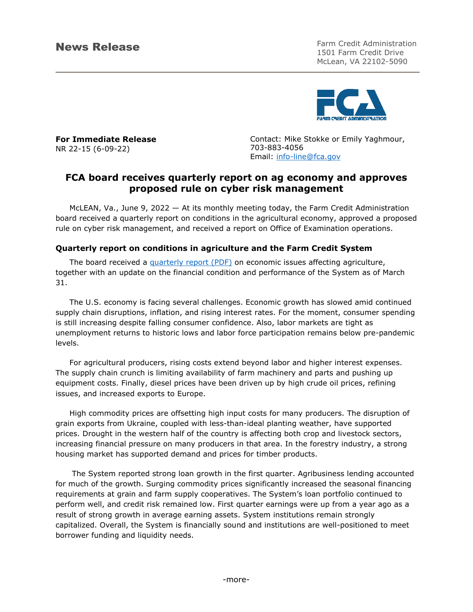News Release Farm Credit Administration 1501 Farm Credit Drive McLean, VA 22102-5090



**For Immediate Release**  NR 22-15 (6-09-22)

Contact: Mike Stokke or Emily Yaghmour, 703-883-4056 Email: [info-line@fca.gov](mailto:info-line@fca.gov)

# **FCA board receives quarterly report on ag economy and approves proposed rule on cyber risk management**

McLEAN, Va., June 9, 2022 — At its monthly meeting today, the Farm Credit Administration board received a quarterly report on conditions in the agricultural economy, approved a proposed rule on cyber risk management, and received a report on Office of Examination operations.

## **Quarterly report on conditions in agriculture and the Farm Credit System**

The board received a [quarterly report \(PDF\)](https://www.fca.gov/template-fca/about/2022JuneQuarterlyReportonFCSCondition.pdf) on economic issues affecting agriculture, together with an update on the financial condition and performance of the System as of March 31.

The U.S. economy is facing several challenges. Economic growth has slowed amid continued supply chain disruptions, inflation, and rising interest rates. For the moment, consumer spending is still increasing despite falling consumer confidence. Also, labor markets are tight as unemployment returns to historic lows and labor force participation remains below pre-pandemic levels.

For agricultural producers, rising costs extend beyond labor and higher interest expenses. The supply chain crunch is limiting availability of farm machinery and parts and pushing up equipment costs. Finally, diesel prices have been driven up by high crude oil prices, refining issues, and increased exports to Europe.

High commodity prices are offsetting high input costs for many producers. The disruption of grain exports from Ukraine, coupled with less-than-ideal planting weather, have supported prices. Drought in the western half of the country is affecting both crop and livestock sectors, increasing financial pressure on many producers in that area. In the forestry industry, a strong housing market has supported demand and prices for timber products.

The System reported strong loan growth in the first quarter. Agribusiness lending accounted for much of the growth. Surging commodity prices significantly increased the seasonal financing requirements at grain and farm supply cooperatives. The System's loan portfolio continued to perform well, and credit risk remained low. First quarter earnings were up from a year ago as a result of strong growth in average earning assets. System institutions remain strongly capitalized. Overall, the System is financially sound and institutions are well-positioned to meet borrower funding and liquidity needs.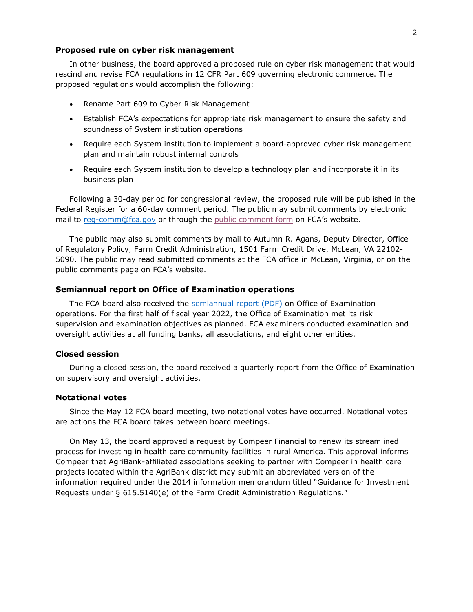#### **Proposed rule on cyber risk management**

In other business, the board approved a proposed rule on cyber risk management that would rescind and revise FCA regulations in 12 CFR Part 609 governing electronic commerce. The proposed regulations would accomplish the following:

- Rename Part 609 to Cyber Risk Management
- Establish FCA's expectations for appropriate risk management to ensure the safety and soundness of System institution operations
- Require each System institution to implement a board-approved cyber risk management plan and maintain robust internal controls
- Require each System institution to develop a technology plan and incorporate it in its business plan

Following a 30-day period for congressional review, the proposed rule will be published in the Federal Register for a 60-day comment period. The public may submit comments by electronic mail to [reg-comm@fca.gov](mailto:reg-comm@fca.gov) or through the [public comment form](https://ww3.fca.gov/readingrm/Handbook/Lists/PublicComments/Item/newifs.aspx?List=2eea33f8-999c-41e0-b369-bae342e7f93b&Source=http%3A%2F%2Fwebsp%2Ewebfca%2Egov%3A47642%2Freadingrm%2FHandbook%2FFCA%20Pending%20Regulations%20%20Notices%2FForms%2FAllItems%2Easpx&RootFolder=&Web=c7355433-6db1-4a30-88d4-cb043618c022) on FCA's website.

The public may also submit comments by mail to Autumn R. Agans, Deputy Director, Office of Regulatory Policy, Farm Credit Administration, 1501 Farm Credit Drive, McLean, VA 22102- 5090. The public may read submitted comments at the FCA office in McLean, Virginia, or on the public comments page on FCA's website.

#### **Semiannual report on Office of Examination operations**

The FCA board also received the [semiannual report](https://www.fca.gov/template-fca/about/2022JuneSemiannualReportonOEoperations.pdf) (PDF) on Office of Examination operations. For the first half of fiscal year 2022, the Office of Examination met its risk supervision and examination objectives as planned. FCA examiners conducted examination and oversight activities at all funding banks, all associations, and eight other entities.

#### **Closed session**

During a closed session, the board received a quarterly report from the Office of Examination on supervisory and oversight activities.

### **Notational votes**

Since the May 12 FCA board meeting, two notational votes have occurred. Notational votes are actions the FCA board takes between board meetings.

On May 13, the board approved a request by Compeer Financial to renew its streamlined process for investing in health care community facilities in rural America. This approval informs Compeer that AgriBank-affiliated associations seeking to partner with Compeer in health care projects located within the AgriBank district may submit an abbreviated version of the information required under the 2014 information memorandum titled "Guidance for Investment Requests under § 615.5140(e) of the Farm Credit Administration Regulations."